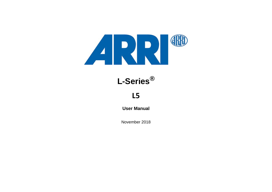

# **L-Series®**

## **L5**

**User Manual**

November 2018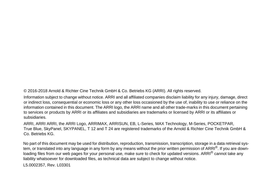© 2016-2018 Arnold & Richter Cine Technik GmbH & Co. Betriebs KG (ARRI). All rights reserved.

Information subject to change without notice. ARRI and all affiliated companies disclaim liability for any injury, damage, direct or indirect loss, consequential or economic loss or any other loss occasioned by the use of, inability to use or reliance on the information contained in this document. The ARRI logo, the ARRI name and all other trade-marks in this document pertaining to services or products by ARRI or its affiliates and subsidiaries are trademarks or licensed by ARRI or its affiliates or subsidiaries.

ARRI, ARRI ARRI, the ARRI Logo, ARRIMAX, ARRISUN, EB, L-Series, MAX Technology, M-Series, POCKETPAR, True Blue, SkyPanel, SKYPANEL, T 12 and T 24 are registered trademarks of the Arnold & Richter Cine Technik GmbH & Co. Betriebs KG.

No part of this document may be used for distribution, reproduction, transmission, transcription, storage in a data retrieval system, or translated into any language in any form by any means without the prior written permission of ARRI®. If you are downloading files from our web pages for your personal use, make sure to check for updated versions. ARRI<sup>®</sup> cannot take anv liability whatsoever for downloaded files, as technical data are subject to change without notice.

L5.0002357, Rev. L03301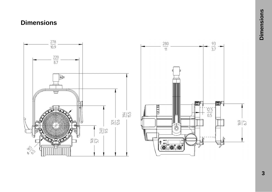## <span id="page-2-0"></span>**Dimensions**

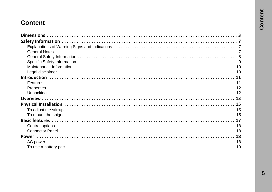## **Content**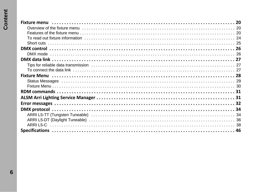| To read out fixture information ………………………………………………………………………………… 24     |  |
|------------------------------------------------------------------------|--|
|                                                                        |  |
|                                                                        |  |
|                                                                        |  |
|                                                                        |  |
| Tips for reliable data transmission ………………………………………………………………………………… 27 |  |
|                                                                        |  |
|                                                                        |  |
|                                                                        |  |
|                                                                        |  |
|                                                                        |  |
|                                                                        |  |
|                                                                        |  |
|                                                                        |  |
|                                                                        |  |
|                                                                        |  |
|                                                                        |  |
|                                                                        |  |

 $6\phantom{a}$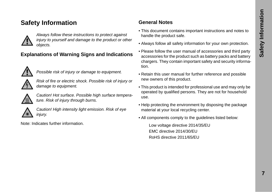## **Safety Information**



*Always follow these instructions to protect against injury to yourself and damage to the product or other objects.*

## **Explanations of Warning Signs and Indications**



*Possible risk of injury or damage to equipment.*

*Risk of fire or electric shock. Possible risk of injury or damage to equipment.*



*Caution! Hot surface. Possible high surface temperature. Risk of injury through burns.*



*Caution! High intensity light emission. Risk of eye injury.*

Note: Indicates further information.

## **General Notes**

- This document contains important instructions and notes to handle the product safe.
- Always follow all safety information for your own protection.
- Please follow the user manual of accessories and third party accessories for the product such as battery packs and battery chargers. They contain important safety and security information.
- Retain this user manual for further reference and possible new owners of this product.
- This product is intended for professional use and may only be operated by qualified persons. They are not for household use.
- Help protecting the environment by disposing the package material at your local recycling center.
- All components comply to the guidelines listed below:

Low voltage directive 2014/35/EU EMC directive 2014/30/EU RoHS directive 2011/65/EU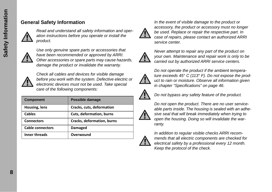#### **General Safety Information**



*Read and understand all safety information and operation instructions before you operate or install the product.*



*Use only genuine spare parts or accessories that have been recommended or approved by ARRI. Other accessories or spare parts may cause hazards, damage the product or invalidate the warranty.*



*Check all cables and devices for visible damage before you work with the system. Defective electric or electronic devices must not be used. Take special care of the following components:*

| <b>Component</b>        | Possible damage                 |
|-------------------------|---------------------------------|
| Housing, lens           | Cracks, cuts, deformation       |
| <b>Cables</b>           | <b>Cuts, deformation, burns</b> |
| <b>Connectors</b>       | Cracks, deformation, burns      |
| <b>Cable connectors</b> | Damaged                         |
| <b>Inner threads</b>    | Overwound                       |



*In the event of visible damage to the product or accessory, the product or accessory must no longer be used. Replace or repair the respective part. In case of repairs, please contact an authorized ARRI service center.*



*Never attempt to repair any part of the product on your own. Maintenance and repair work is only to be carried out by authorized ARRI service centers.*



*Do not operate the product if the ambient temperature exceeds 45° C (113° F). Do not expose the product to rain or moisture. Observe all information given in chapter ["Specifications" on page 46](#page-45-0)*.



*Do not bypass any safety feature of the product.*



*Do not open the product. There are no user serviceable parts inside. The housing is sealed with an adhesive seal that will break immediately when trying to open the housing. Doing so will invalidate the warranty.*



*In addition to regular visible checks ARRI recommends that all electric components are checked for electrical safety by a professional every 12 month. Keep the protocol of the check.*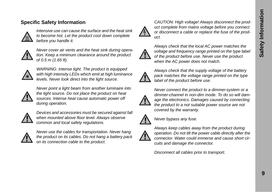#### **Specific Safety Information**



*Intensive use can cause the surface and the heat sink to become hot. Let the product cool down complete before you handle it.*



*Never cover air vents and the heat sink during operation. Keep a minimum clearance around the product of 0.5 m (1.65 ft).*



*WARNING: Intense light. The product is equipped with high intensity LEDs which emit at high luminance levels. Never look direct into the light source.*



*Never point a light beam from another luminaire into the light source. Do not place the product on heat sources. Intense heat cause automatic power off during operation.*



*Devices and accessories must be secured against fall when mounted above floor level. Always observe common and local safety regulations.*



*Never use the cables for transportation. Never hang the product on its cables. Do not hang a battery pack on its connection cable to the product.*



*CAUTION: High voltage! Always disconnect the product complete from mains voltage before you connect or disconnect a cable or replace the fuse of the product.*



*Always check that the local AC power matches the voltage and frequency range printed on the type label of the product before use. Never use the product when the AC power does not match.*



*Always check that the supply voltage of the battery pack matches the voltage range printed on the type label of the product before use.*



*Never connect the product to a dimmer-system or a dimmer-channel in non-dim mode. To do so will damage the electronics. Damages caused by connecting the product to a not suitable power source are not covered by the warranty.*



*Never bypass any fuse.*



*Always keep cables away from the product during operation. Do not tilt the power cable directly after the connector. Water could immerse and cause short circuits and damage the connector.*

*Disconnect all cables prior to transport.*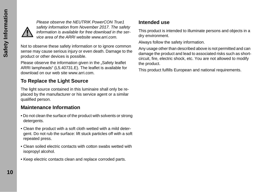

*Please observe the NEUTRIK PowerCON True1 safety information from November 2017. The safety information is available for free download in the service area of the ARRI website www.arri.com.*

Not to observe these safety information or to ignore common sense may cause serious injury or even death. Damage to the product or other devices is possible.

Please observe the information given in the "Safety leaflet ARRI lampheads" (L5.40731.E). The leaflet is available for download on our web site www.arri.com.

## **To Replace the Light Source**

The light source contained in this luminaire shall only be replaced by the manufacturer or his service agent or a similar qualified person.

#### **Maintenance Information**

- Do not clean the surface of the product with solvents or strong detergents.
- Clean the product with a soft cloth wetted with a mild detergent. Do not rub the surface: lift stuck particles off with a soft repeated press.
- Clean soiled electric contacts with cotton swabs wetted with isopropyl alcohol.
- Keep electric contacts clean and replace corroded parts.

#### **Intended use**

This product is intended to illuminate persons and objects in a dry environment.

Always follow the safety information.

Any usage other than described above is not permitted and can damage the product and lead to associated risks such as shortcircuit, fire, electric shock, etc. You are not allowed to modify the product.

This product fulfills European and national requirements.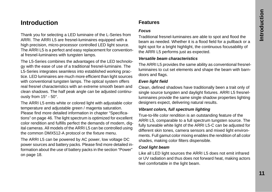## **Introduction**

Thank you for selecting a LED luminaire of the L-Series from ARRI. The ARRI L5 are fresnel-luminaires equipped with a high precision, micro-processor controlled LED light source. The ARRI L5 is a perfect and easy replacement for conventional fresnel-luminaires with tungsten lamps.

The L5-Series combines the advantages of the LED technology with the ease of use of a traditional fresnel-luminaire. The L5-Series integrates seamless into established working practice. LED luminaires are much more efficient than light sources with conventional tungsten lamps. The optical system offers real fresnel characteristics with an extreme smooth beam and clean shadows. The half peak angle can be adjusted continuously from 15° - 50°.

The ARRI L5 emits white or colored light with adjustable color temperature and adjustable green / magenta saturation. Please find more detailed information in chapter ["Specifica](#page-45-0)[tions" on page 46.](#page-45-0) The light spectrum is optimized for excellent color rendition and fulfills perfect the demands of modern, digital cameras. All models of the ARRI L5 can be controlled using the common DMX512-A protocol or the fixture menu.

The ARRI L5 can be powered by AC power, low voltage DC power sources and battery packs. Please find more detailed information about the use of battery packs in the section ["Power"](#page-17-0)  [on page 18](#page-17-0).

## **Features**

#### *Focus*

Traditional fresnel-luminaires are able to spot and flood the beam as needed. Whether it is a flood field for a pullback or a tight spot for a bright highlight, the continuous focusability of the ARRI L5 performs just as expected.

#### *Versatile beam characteristics*

The ARRI L5 provides the same ability as conventional fresnelluminaires to cut set elements and shape the beam with barndoors and flags.

#### *Even light field*

Clean, defined shadows have traditionally been a trait only of single source tungsten and daylight fixtures. ARRI L5 fresnelluminaires provide the same single shadow properties lighting designers expect, delivering natural results.

#### *Vibrant colors, full spectrum lighting*

True-to-life color rendition is an outstanding feature of the ARRI L5, comparable to a full spectrum tungsten source. The fully tuneable white light of the ARRI L5-C can be adjusted for different skin tones, camera sensors and mixed light environments. Full gamut color mixing enables the rendition of all color shades, making color filters dispensible.

#### *Cool light beam*

Like all LED light sources the ARRI L5 does not emit infrared or UV radiation and thus does not forward heat, making actors feel comfortable in the light beam.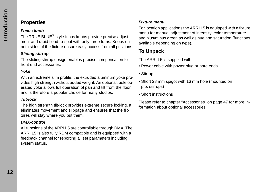## **Properties**

#### *Focus knob*

The TRUE BLUE<sup>®</sup> style focus knobs provide precise adjustment and rapid flood-to-spot with only three turns. Knobs on both sides of the fixture ensure easy access from all positions.

#### *Sliding stirrup*

The sliding stirrup design enables precise compensation for front end accessories.

#### *Yoke*

With an extreme slim profile, the extruded aluminum yoke provides high strength without added weight. An optional, pole operated yoke allows full operation of pan and tilt from the floor and is therefore a popular choice for many studios.

#### *Tilt-lock*

The high strength tilt-lock provides extreme secure locking. It eliminates movement and slippage and ensures that the fixtures will stay where you put them.

#### *DMX-control*

All functions of the ARRI L5 are controllable through DMX. The ARRI L5 is also fully RDM compatible and is equipped with a feedback channel for reporting all set parameters including system status.

#### *Fixture menu*

For location applications the ARRI L5 is equipped with a fixture menu for manual adjustment of intensity, color temperature and plus/minus green as well as hue and saturation (functions available depending on type).

## **To Unpack**

The ARRI L5 is supplied with:

- Power cable with power plug or bare ends
- Stirrup
- Short 28 mm spigot with 16 mm hole (mounted on p.o. stirrups)
- Short instructions

Please refer to chapter ["Accessories" on page 47](#page-46-0) for more information about optional accessories.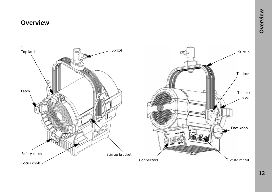## **Overview**

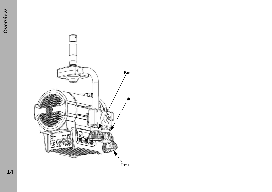

**14**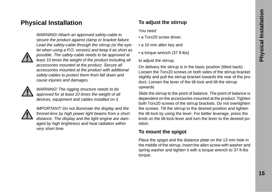## <span id="page-14-0"></span>**Physical Installation**

*WARNING! Attach an approved safety-cable to secure the product against clamp or bracket failure. Lead the safety-cable through the stirrup (or the eyelet when using a P.O. version) and keep it as short as possible. The safety-cable needs to be approved at least 10 times the weight of the product including all accessories mounted at the product. Secure all accessories mounted at the product with additional safety-cables to protect them from fall down and cause injuries and damages.*



*WARNING! The rigging structure needs to be approved for at least 10 times the weight of all devices, equipment and cables installed on it.*



*IMPORTANT! Do not illuminate the display and the fresnel-lens by high power light beams from a short distance. The display and the light engine are damaged by high brightness and heat radiation within very short time.*

#### **To adjust the stirrup**

You need

- a Torx20 screw driver,
- a 10 mm allen key and
- a torque wrench (37 ft-lbs)

to adjust the stirrup.

On delivery the stirrup is in the basic position (tilted back). Loosen the Torx20 screws on both sides of the stirrup bracket slightly and pull the stirrup bracket towards the rear of the product. Loosen the lever of the tilt-lock and tilt the stirrup upwards.

Slide the stirrup to the point of balance. The point of balance is dependent on the accessories mounted at the product. Tighten both Torx20 screws of the stirrup brackets. Do not overtighten the screws. Tilt the stirrup to the desired position and tighten the tilt-lock by using the lever. For better leverage, press the knob on the tilt-lock-lever and turn the lever to the desired position.

#### **To mount the spigot**

Place the spigot and the distance plate on the 13 mm hole in the middle of the stirrup. Insert the allen screw with washer and spring washer and tighten it with a torque wrench to 37 ft-lbs torque.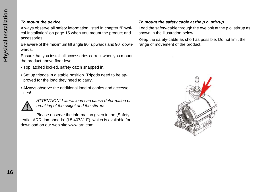#### *To mount the device*

Always observe all safety information listed in chapter ["Physi](#page-14-0)[cal Installation" on page 15](#page-14-0) when you mount the product and accessories:

Be aware of the maximum tilt angle 90° upwards and 90° downwards.

Ensure that you install all accessories correct when you mount the product above floor level:

- Top latched locked, safety catch snapped in.
- Set up tripods in a stable position. Tripods need to be approved for the load they need to carry.
- Always observe the additional load of cables and accessories!



*ATTENTION! Lateral load can cause deformation or breaking of the spigot and the stirrup!*

Please observe the information given in the "Safety leaflet ARRI lampheads" (L5.40731.E), which is available for download on our web site www.arri.com.

#### *To mount the safety cable at the p.o. stirrup*

Lead the safety-cable through the eye bolt at the p.o. stirrup as shown in the illustration below.

Keep the safety-cable as short as possible. Do not limit the range of movement of the product.

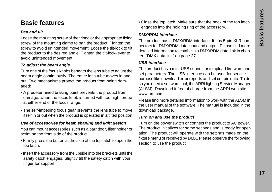## **Basic features**

#### *Pan and tilt*

Loose the mounting screw of the tripod or the appropriate fixing screw of the mounting clamp to pan the product. Tighten the screw to avoid unintended movement. Loose the tilt-lock to tilt the product to the desired angle. Tighten the tilt-lock-lever to avoid unintended movement.

#### *To adjust the beam angle*

Turn one of the focus knobs beneath the lens tube to adjust the beam angle continuously. The entire lens tube moves in and out. Two mechanisms protect the product from being damaged:

- A predetermined braking point prevents the product from damage, when the focus knob is turned with too high torque at either end of the focus range.
- The self-impeding focus gear prevents the lens tube to move itself in or out when the product is operated in a tilted position.

#### *Use of accessories for beam shaping and light design*

You can mount accessories such as a barndoor, filter holder or scrim on the front side of the product:

- Firmly press the button at the side of the top latch to open the top latch.
- Insert the accessory from the upside into the brackets until the safety catch engages. Slightly tilt the safety catch with your finger for support.

• Close the top latch. Make sure that the hook of the top latch engages into the holding ring of the accessory.

#### *DMX/RDM-interface*

The product has a DMX/RDM-interface. It has 5-pin XLR connectors for DMX/RDM data input and output. Please find more detailed information to establish a DMX/RDM data-link in chapter ["DMX data link" on page 27](#page-26-0).

#### *USB-interface*

The product has a mini-USB connector to upload firmware and set parameters. The USB-interface can be used for service purpose like download error reports and set certain data. To do so you need a software tool, the ARRI lighting Service Manager (ALSM). Download it free of charge from the ARRI web site www.arri.com.

Please find more detailed information to work with the ALSM in the user manual of the software. The manual is included in the download package.

#### *Turn on and use the product*

Turn on the power switch or connect the product to AC power. The product initializes for some seconds and is ready for operation. The product will operate with the settings made on the fixture menu or received by DMX. Please observe the following section to use the product.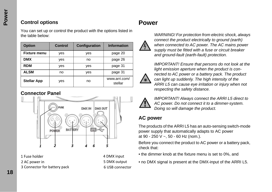## **Control options**

You can set up or control the product with the options listed in the table below:

| <b>Option</b>       | Control | Configuration | <b>Information</b>       |
|---------------------|---------|---------------|--------------------------|
| <b>Fixture menu</b> | yes     | yes           | page 20                  |
| <b>DMX</b>          | yes     | no            | page 26                  |
| <b>RDM</b>          | yes     | yes           | page 31                  |
| <b>ALSM</b>         | no      | yes           | page 31                  |
| <b>Stellar App</b>  | yes     | no            | www.arri.com/<br>stellar |

## **Connector Panel**



1 Fuse holder 2 AC power in 3 Connector for battery pack 4 DMX input 5 DMX output 6 USB connector

## <span id="page-17-0"></span>**Power**



*WARNING! For protection from electric shock, always connect the product electrically to ground (earth) when connected to AC power. The AC mains power supply must be fitted with a fuse or circuit breaker and ground-fault (earth-fault) protection.*

*IMPORTANT! Ensure that persons do not look at the light emission aperture when the product is connected to AC power or a battery pack. The product can light up suddenly. The high intensity of the ARRI L5 can cause eye irritation or injury when not respecting the safety distance.*



*IMPORTANT! Always connect the ARRI L5 direct to AC power. Do not connect it to a dimmer-system. Doing so will damage the product.*

## **AC power**

The products of the ARRI L5 has an auto-sensing switch-mode power supply that automatically adapts to AC power at 90 - 250 V ~, 50 - 60 Hz (nom.).

Before you connect the product to AC power or a battery pack, check that:

- the dimmer knob at the fixture menu is set to 0%, and
- no DMX signal is present at the DMX-input of the ARRI L5.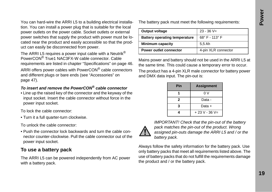You can hard-wire the ARRI L5 to a building electrical installation. You can install a power plug that is suitable for the local power outlets on the power cable. Socket outlets or external power switches that supply the product with power must be located near the product and easily accessible so that the product can easily be disconnected from power.

The ARRI L5 requires a power input cable with a Neutrik<sup>®</sup> PowerCON® True1 NAC3FX-W cable connector. Cable requirements are listed in chapter ["Specifications" on page 46](#page-45-0).

ARRI offers power cables with PowerCON® cable connectors and different plugs or bare ends (see ["Accessories" on](#page-46-0)  [page 47\)](#page-46-0).

#### *To insert and remove the PowerCON® cable connector*

• Line up the raised key of the connector and the keyway of the input socket. Insert the cable connector without force in the power input socket.

To lock the cable connector:

• Turn it a full quarter-turn clockwise.

To unlock the cable connector:

• Push the connector lock backwards and turn the cable connector counter-clockwise. Pull the cable connector out of the power input socket.

#### **To use a battery pack**

The ARRI L5 can be powered independently from AC power with a battery pack.

The battery pack must meet the following requirements:

| Output voltage                       | $23 - 36 V =$       |
|--------------------------------------|---------------------|
| <b>Battery operating temperature</b> | 68°F-113°F          |
| <b>Minimum capacity</b>              | 5,5 Ah              |
| Power outlet connector               | 4-pin XLR connector |

Mains power and battery should not be used in the ARRI L5 at the same time. This could cause a temporary error to occur.

The product has a 4-pin XLR male connector for battery power and DMX data input. The pin-out is:

| Pin | <b>Assignment</b> |
|-----|-------------------|
|     | 0 V               |
| 2   | Data -            |
| 3   | Data +            |
|     | $+23$ V - 36 V =  |



*IMPORTANT! Check that the pin-out of the battery pack matches the pin-out of the product. Wrong assigned pin-outs damage the ARRI L5 and / or the battery pack.*

Always follow the safety information for the battery pack. Use only battery packs that meet all requirements listed above. The use of battery packs that do not fulfill the requirements damage the product and / or the battery pack.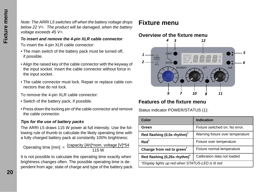*Note: The ARRI L5 switches off when the battery voltage drops below 22 V=. The product will be damaged, when the battery voltage exceeds 45 V=.*

#### *To insert and remove the 4-pin XLR cable connector*

To insert the 4-pin XLR cable connector:

- The main switch of the battery pack must be turned off, if possible.
- Align the raised key of the cable connector with the keyway of the input socket. Insert the cable connector without force in the input socket.
- The cable connector must lock. Repair or replace cable connectors that do not lock.

To remove the 4-pin XLR cable connector:

- Switch of the battery pack, if possible.
- Press down the locking pin of the cable connector and remove the cable connector.

#### *Tips for the use of battery packs*

The ARRI L5 draws 115 W power at full intensity. Use the following rule of thumb to calculate the likely operating time with a fully charged battery pack at constantly 100% brightness:

Operating time [min] =  $\frac{(capacity [Ah]^*nom. voltage [V]^*54)}{115 W}$ 

It is not possible to calculate the operating time exactly when brightness changes often. The possible operating time is dependent from age, state of charge and type of the battery pack.

## <span id="page-19-0"></span>**Fixture menu**

#### **Overview of the fixture menu**



#### **Features of the fixture menu**

Status indicator POWER/STATUS (1):

| Color                                             | Indication                       |  |
|---------------------------------------------------|----------------------------------|--|
| Green                                             | Fixture switched on. No error.   |  |
| Red flashing (0,5s rhythm) <sup>*</sup>           | Warning fixture over temperature |  |
| Red <sup>*</sup>                                  | Fixture over temperature         |  |
| Change from red to green <sup>®</sup>             | Fixture normal temperature       |  |
| Red flashing (0,25s rhythm)*                      | Calibration data not loaded      |  |
| *Display lights up red when STATUS-LED is lit red |                                  |  |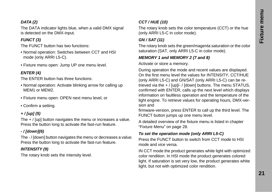#### *DATA (2)*

The DATA indicator lights blue, when a valid DMX signal is detected on the DMX-input.

#### *FUNCT (3)*

The FUNCT button has two functions:

- Normal operation: Switches between CCT and HSI mode (only ARRI L5-C).
- Fixture menu open: Jump UP one menu level.

#### *ENTER (4)*

The ENTER button has three functions:

- Normal operation: Activate blinking arrow for calling up MEM1 or MEM2.
- Fixture menu open: OPEN next menu level, or
- Confirm a setting.

#### *+ / [up] (5)*

The + / [up] button navigates the menu or increases a value. Press the button long to activate the fast-run feature.

#### *- / [down](6)*

The - / [down] button navigates the menu or decreases a value. Press the button long to activate the fast-run feature.

#### *INTENSITY (9)*

The rotary knob sets the intensity level.

#### *CCT / HUE (10)*

The rotary knob sets the color temperature (CCT) or the hue (only ARRI L5-C in color mode).

#### *GN / SAT (11)*

The rotary knob sets the green/magenta saturation or the color saturation (SAT, only ARRI L5-C in color mode).

#### *MEMORY 1 and MEMORY 2 (7 and 8)*

Activate or store a memory.

During operation the mode and recent values are displayed. On the first menu level the values for INTENSITY, CCT/HUE (only ARRI L5-C) and GN/SAT (only ARRI L5-C) can be retrieved via the + / [up]/- / [down] buttons. The menu STATUS, confirmed with ENTER, calls up the next level which displays information on faultless operation and the temperature of the light engine. To retrieve values for operating hours, DMX-version and

firmware-version, press ENTER to call up the third level. The FUNCT button jumps up one menu level.

A detailed overview of the fixture menu is listed in chapter ["Fixture Menu" on page 28](#page-27-0).

#### *To set the operation mode (only ARRI L5-C)*

Press the FUNCT button to switch from CCT mode to HSI mode and vice versa.

IN CCT mode the product generates white light with optimized color rendition. In HSI mode the product generates colored light. If saturation is set very low, the product generates white light, but not with optimized color rendition.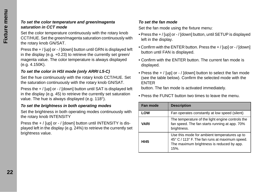#### *To set the color temperature and green/magenta saturation in CCT mode*

Set the color temperature continuously with the rotary knob CCT/HUE. Set the green/magenta saturation continuously with the rotary knob GN/SAT.

Press the + / [up] or - / [down] button until GRN is displayed left in the display (e.g. +0.23) to retrieve the currently set green/ magenta value. The color temperature is always displayed (e.g. 4.150K).

#### *To set the color in HSI mode (only ARRI L5-C)*

Set the hue continuously with the rotary knob CCT/HUE. Set the saturation continuously with the rotary knob GN/SAT.

Press the + / [up] or - / [down] button until SAT is displayed left in the display (e.g. 45) to retrieve the currently set saturation value. The hue is always displayed (e.g. 118°).

#### *To set the brightness in both operating modes*

Set the brightness in both operating modes continuously with the rotary knob INTENSITY

Press the + / [up] or - / [down] button until INTENSITY is displayed left in the display (e.g. 24%) to retrieve the currently set brightness value.

#### *To set the fan mode*

Set the fan mode using the fixture menu:

- Press the + / [up] or / [down] button, until SETUP is displayed left in the display.
- Confirm with the ENTER button. Press the + / [up] or / [down] button until FAN is displayed.
- Confirm with the ENTER button. The current fan mode is displayed.
- Press the + / [up] or / [down] button to select the fan mode (see the table below). Confirm the selected mode with the ENTER

button. The fan mode is activated immediately.

• Press the FUNCT button two times to leave the menu.

| Fan mode    | <b>Description</b>                                                                                                                                  |
|-------------|-----------------------------------------------------------------------------------------------------------------------------------------------------|
| LOW         | Fan operates constantly at low speed (silent)                                                                                                       |
| VARI        | The temperature of the light engine controls the<br>fan speed. The fan starts running at app. 70%<br>brightness.                                    |
| <b>HI45</b> | Use this mode for ambient temperatures up to<br>45° C / 113° F. The fan runs at maximum speed.<br>The maximum brightness is reduced by app.<br>15%. |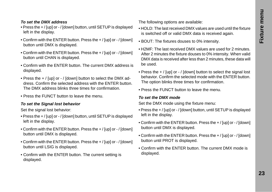#### *To set the DMX address*

- Press the + / [up] or / [down] button, until SETUP is displayed left in the display.
- Confirm with the ENTER button. Press the + / [up] or / [down] button until DMX is displayed.
- Confirm with the ENTER button. Press the + / [up] or / [down] button until CHAN is displayed.
- Confirm with the ENTER button. The current DMX address is displayed.
- Press the + / [up] or / [down] button to select the DMX address. Confirm the selected address with the ENTER button. The DMX address blinks three times for confirmation.
- Press the FUNCT button to leave the menu.

#### *To set the Signal lost behavior*

Set the signal lost behavior:

- Press the + / [up] or / [down] button, until SETUP is displayed left in the display.
- Confirm with the ENTER button. Press the + / [up] or / [down] button until DMX is displayed.
- Confirm with the ENTER button. Press the + / [up] or / [down] button until LSIG is displayed.
- Confirm with the ENTER button. The current setting is displayed.

The following options are available:

- HOLD: The last received DMX values are used until the fixture is switched off or valid DMX data is received again.
- BOUT: The fixtures douses to 0% intensity.
- H2MF: The last received DMX values are used for 2 minutes. After 2 minutes the fixture douses to 0% intensity. When valid DMX data is received after less than 2 minutes, these data will be used.
- Press the + / [up] or / [down] button to select the signal lost behavior. Confirm the selected mode with the ENTER button. The option blinks three times for confirmation.
- Press the FUNCT button to leave the menu.

#### *To set the DMX mode*

Set the DMX mode using the fixture menu:

- Press the + / [up] or / [down] button, until SETUP is displayed left in the display.
- Confirm with the ENTER button. Press the + / [up] or / [down] button until DMX is displayed.
- Confirm with the ENTER button. Press the + / [up] or / [down] button until PROT is displayed.
- Confirm with the ENTER button. The current DMX mode is displayed.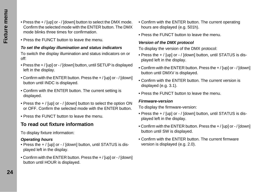- Press the + / [up] or / [down] button to select the DMX mode. Confirm the selected mode with the ENTER button. The DMX mode blinks three times for confirmation.
- Press the FUNCT button to leave the menu.

#### *To set the display illumination and status indicators*

To switch the display illumination and status indicators on or off:

- Press the + / [up] or / [down] button, until SETUP is displayed left in the display.
- Confirm with the ENTER button. Press the + / [up] or / [down] button until INDC is displayed.
- Confirm with the ENTER button. The current setting is displayed.
- Press the + / [up] or / [down] button to select the option ON or OFF. Confirm the selected mode with the ENTER button.
- Press the FUNCT button to leave the menu.

## **To read out fixture information**

To display fixture information:

#### *Operating hours*

- Press the + / [up] or / [down] button, until STATUS is displayed left in the display.
- Confirm with the ENTER button. Press the + / [up] or / [down] button until HOUR is displayed.
- Confirm with the ENTER button. The current operating hours are displayed (e.g. 501h).
- Press the FUNCT button to leave the menu.

#### *Version of the DMX protocol*

To display the version of the DMX protocol:

- Press the + / [up] or / [down] button, until STATUS is displayed left in the display.
- Confirm with the ENTER button. Press the + / [up] or / [down] button until DMXV is displayed.
- Confirm with the ENTER button. The current version is displayed (e.g. 3.1).
- Press the FUNCT button to leave the menu.

#### *Firmware-version*

To display the firmware-version:

- Press the + / [up] or / [down] button, until STATUS is displayed left in the display.
- Confirm with the ENTER button. Press the + / [up] or / [down] button until SW is displayed.
- Confirm with the ENTER button. The current firmware version is displayed (e.g. 2.0).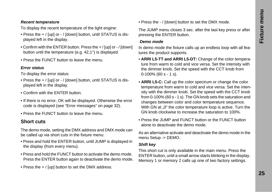#### *Recent temperature*

To display the recent temperature of the light engine:

- Press the + / [up] or / [down] button, until STATUS is displayed left in the display.
- Confirm with the ENTER button. Press the + / [up] or / [down] button until the temperature (e.g. 42,1°) is displayed.
- Press the FUNCT button to leave the menu.

#### *Error status*

To display the error status:

- Press the + / [up] or / [down] button, until STATUS is displayed left in the display.
- Confirm with the ENTER button.
- If there is no error, OK will be displayed. Otherwise the error code is displayed (see ["Error messages" on page 32\)](#page-31-0).
- Press the FUNCT button to leave the menu.

#### **Short cuts**

The demo mode, setting the DMX address and DMX mode can be called up via short cuts in the fixture menu:

- Press and hold the ENTER button, until JUMP is displayed in the display (from every menu).
- Press and hold the FUNCT button to activate the demo mode. Press the ENTER button again to deactivate the demo mode.
- Press the + / [up] button to set the DMX address.

• Press the - / [down] button to set the DMX mode.

The JUMP menu closes 3 sec. after the last key press or after pressing the ENTER button.

#### <span id="page-24-0"></span> *Demo mode*

In demo mode the fixture calls up an endless loop with all features the product supports.

- **ARRI L5-TT and ARRI L5-DT:** Change of the color temperature from warm to cold and vice versa. Set the intensity with the dimmer knob. Set the speed with the CCT knob from 0-100% (60 s - 1 s).
- **ARRI L5-C:** Call up the color spectrum or change the color temperature from warm to cold and vice versa. Set the intensity with the dimmer knob. Set the speed with the CCT knob from 0-100% (60 s - 1 s). The GN knob sets the saturation and changes between color and color temperature sequence. With GN at "0" the color temperature loop is active. Turn the GN knob clockwise to increase the saturation to 100%.
- Press the JUMP and FUNCT button or the FUNCT button alone to deactivate the demo mode.

As an alternative activate and deactivate the demo mode in the menu Setup -> DEMO.

#### *Shift key*

This short cut is only available in the main menu. Press the ENTER button, until a small arrow starts blinking in the display. Memory 1 or memory 2 calls up one of two factory settings.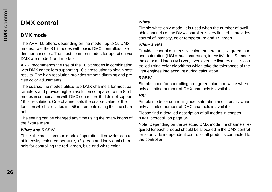## <span id="page-25-0"></span>**DMX control**

#### **DMX mode**

The ARRI L5 offers, depending on the model, up to 15 DMX modes. Use the 8 bit modes with basic DMX controllers like dimmer consoles. The most common modes for operation via DMX are mode 1 and mode 2.

ARRI recommends the use of the 16 bit modes in combination with DMX controllers supporting 16 bit resolution to obtain best results. The high resolution provides smooth dimming and precise color adjustments.

The coarse/fine modes utilize two DMX channels for most parameters and provide higher resolution compared to the 8 bit modes in combination with DMX controllers that do not support 16 bit resolution. One channel sets the coarse value of the function which is divided in 256 increments using the fine channel.

The setting can be changed any time using the rotary knobs of the fixture menu.

#### *White and RGBW*

This is the most common mode of operation. It provides control of intensity, color temperature, +/- green and individual channels for controlling the red, green, blue and white color.

#### *White*

Simple white-only mode. It is used when the number of available channels of the DMX controller is very limited. It provides control of intensity, color temperature and +/- green.

#### *White & HSI*

Provides control of intensity, color temperature, +/- green, hue and saturation  $(HSI = hue$ , saturation, intensity). In HSI mode the color and intensity is very even over the fixtures as it is controlled using color algorithms which take the tolerances of the light engines into account during calculation.

#### *RGBW*

Simple mode for controlling red, green, blue and white when only a limited number of DMX channels is available.

#### *HSI*

Simple mode for controlling hue, saturation and intensity when only a limited number of DMX channels is available.

Please find a detailed description of all modes in chapter ["DMX protocol" on page 34](#page-33-0).

Note: Depending on the selected DMX mode the channels required for each product should be allocated in the DMX controller to provide independent control of all products connected to the controller.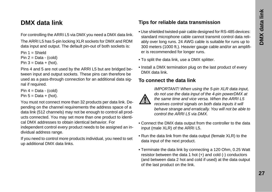## <span id="page-26-0"></span>**DMX data link**

For controlling the ARRI L5 via DMX you need a DMX data link.

The ARRI L5 has 5-pin locking XLR sockets for DMX and RDM data input and output. The default pin-out of both sockets is:

Pin  $1 =$  Shield

- Pin  $2 = Data (cold)$
- Pin  $3 = Data + (hot)$ .

Pins 4 and 5 are not used by the ARRI L5 but are bridged between input and output sockets. These pins can therefore be used as a pass-through connection for an additional data signal if required.

Pin  $4 = Data - (cold)$ Pin  $5 = Data + (hot)$ .

You must not connect more than 32 products per data link. Depending on the channel requirements the address space of a data link (512 channels) may not be enough to control all products connected. You may set more than one product to identical DMX addresses to obtain identical behavior. For independent control every product needs to be assigned an individual address range.

If you need to control more products individual, you need to set up additional DMX data links.

#### **Tips for reliable data transmission**

- Use shielded twisted-pair cable designed for RS-485 devices: standard microphone cable cannot transmit control data reliably over long runs. 24 AWG cable is suitable for runs up to 300 meters (1000 ft.). Heavier gauge cable and/or an amplifier is recommended for longer runs.
- To split the data link, use a DMX splitter.
- Install a DMX termination plug on the last product of every DMX data link.

#### **To connect the data link**



*IMPORTANT! When using the 5-pin XLR data input, do not use the data input of the 4-pin powerDMX at the same time and vice versa. When the ARRI L5 receives control signals on both data inputs it will behave strange and erratically. You will not be able to control the ARRI L5 via DMX.*

- Connect the DMX data output from the controller to the data input (male XLR) of the ARRI L5.
- Run the data link from the data output (female XLR) to the data input of the next product.
- Terminate the data link by connecting a 120 Ohm, 0.25 Watt resistor between the data 1 hot (+) and cold (-) conductors (and between data 2 hot and cold if used) at the data output of the last product on the link.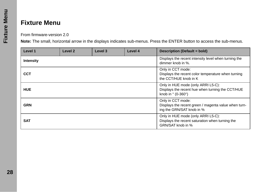## <span id="page-27-0"></span>**Fixture Menu**

From firmware-version 2.0

**Note:** The small, horizontal arrow in the displays indicates sub-menus. Press the ENTER button to access the sub-menus.

| Level 1          | Level <sub>2</sub> | Level 3 | Level 4 | <b>Description (Default = bold)</b>                                                                                            |
|------------------|--------------------|---------|---------|--------------------------------------------------------------------------------------------------------------------------------|
| <b>Intensity</b> |                    |         |         | Displays the recent intensity level when turning the<br>dimmer knob in %.                                                      |
| <b>CCT</b>       |                    |         |         | Only in CCT mode:<br>Displays the recent color temperature when turning<br>the CCT/HUE knob in K                               |
| <b>HUE</b>       |                    |         |         | Only in HUE mode (only ARRI L5-C):<br>Displays the recent hue when turning the CCT/HUE<br>knob in $\degree$ (0-360 $\degree$ ) |
| <b>GRN</b>       |                    |         |         | Only in CCT mode:<br>Displays the recent green / magenta value when turn-<br>ing the GRN/SAT knob in %                         |
| <b>SAT</b>       |                    |         |         | Only in HUE mode (only ARRI L5-C):<br>Displays the recent saturation when turning the<br>GRN/SAT knob in %                     |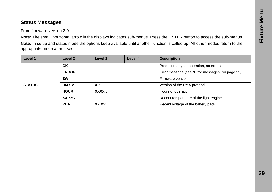#### **Status Messages**

From firmware-version 2.0

**Note:** The small, horizontal arrow in the displays indicates sub-menus. Press the ENTER button to access the sub-menus.

**Note:** In setup and status mode the options keep available until another function is called up. All other modes return to the appropriate mode after 2 sec.

| Level 1       | Level 2         | Level 3 | Level 4 | <b>Description</b>                              |
|---------------|-----------------|---------|---------|-------------------------------------------------|
|               | OK              |         |         | Product ready for operation, no errors          |
|               | <b>ERROR</b>    |         |         | Error message (see "Error messages" on page 32) |
| <b>STATUS</b> | <b>SW</b>       |         |         | Firmware version                                |
|               | <b>DMX V</b>    | X.X     |         | Version of the DMX protocol                     |
|               | <b>HOUR</b>     | XXXX t  |         | Hours of operation                              |
|               | $XX.X^{\circ}C$ |         |         | Recent temperature of the light engine          |
|               | <b>VBAT</b>     | XX.XV   |         | Recent voltage of the battery pack              |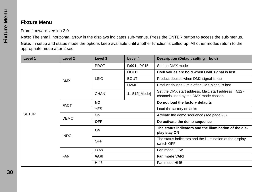#### **Fixture Menu**

From firmware-version 2.0

**Note:** The small, horizontal arrow in the displays indicates sub-menus. Press the ENTER button to access the sub-menus.

**Note:** In setup and status mode the options keep available until another function is called up. All other modes return to the appropriate mode after 2 sec.

| Level 1      | Level <sub>2</sub> | Level 3     | Level 4           | Description (Default setting = bold)                                                              |
|--------------|--------------------|-------------|-------------------|---------------------------------------------------------------------------------------------------|
|              | <b>DMX</b>         | <b>PROT</b> | P.001P.015        | Set the DMX mode                                                                                  |
|              |                    | <b>LSIG</b> | <b>HOLD</b>       | DMX values are hold when DMX signal is lost                                                       |
|              |                    |             | <b>BOUT</b>       | Product douses when DMX signal is lost                                                            |
|              |                    |             | H <sub>2</sub> MF | Product douses 2 min after DMX signal is lost                                                     |
|              |                    | <b>CHAN</b> | $1512$ -Mode]     | Set the DMX start address. Max. start address $= 512 - 1$<br>channels used by the DMX mode chosen |
|              | <b>FACT</b>        | <b>NO</b>   |                   | Do not load the factory defaults                                                                  |
| <b>SETUP</b> |                    | <b>YES</b>  |                   | Load the factory defaults                                                                         |
|              | <b>DEMO</b>        | <b>ON</b>   |                   | Activate the demo sequence (see page 25)                                                          |
|              |                    | <b>OFF</b>  |                   | De-activate the demo sequence                                                                     |
|              | <b>INDC</b>        | <b>ON</b>   |                   | The status indicators and the illumination of the dis-<br>play stay ON                            |
|              |                    | <b>OFF</b>  |                   | The status indicators and the illumination of the display<br>switch OFF                           |
|              | <b>FAN</b>         | <b>LOW</b>  |                   | Fan mode LOW                                                                                      |
|              |                    | <b>VARI</b> |                   | Fan mode VARI                                                                                     |
|              |                    | HI45        |                   | Fan mode HI45                                                                                     |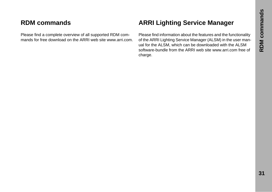## <span id="page-30-1"></span>**RDM commands**

Please find a complete overview of all supported RDM commands for free download on the ARRI web site www.arri.com.

## <span id="page-30-0"></span>**ARRI Lighting Service Manager**

Please find information about the features and the functionality of the ARRI Lighting Service Manager (ALSM) in the user manual for the ALSM, which can be downloaded with the ALSM software-bundle from the ARRI web site www.arri.com free of charge.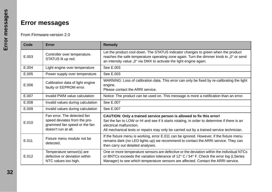# <span id="page-31-0"></span>**Error messages**

#### From Firmware-version 2.0

| Code  | Error                                                                                                              | Remedy                                                                                                                                                                                                                                                                                      |
|-------|--------------------------------------------------------------------------------------------------------------------|---------------------------------------------------------------------------------------------------------------------------------------------------------------------------------------------------------------------------------------------------------------------------------------------|
| E.003 | Controller over temperature.<br>STATUS lit up red.                                                                 | Let the product cool down. The STATUS indicator changes to green when the product<br>reaches the safe temperature operating zone again. Turn the dimmer knob to "0" or send<br>an intensity value "0" via DMX to activate the light engine again.                                           |
| E.004 | Light engine over temperature                                                                                      | See E.003                                                                                                                                                                                                                                                                                   |
| E.005 | Power supply over temperature                                                                                      | See E.003                                                                                                                                                                                                                                                                                   |
| E.006 | Calibration data of light engine<br>faulty or EEPROM error.                                                        | WARNING: Loss of calibration data. This error can only be fixed by re-calibrating the light<br>engine.<br>Please contact the ARRI service.                                                                                                                                                  |
| E.007 | Invalid PWM value calculation                                                                                      | Notice: The product can be used on. This message is more a notification than an error.                                                                                                                                                                                                      |
| E.008 | Invalid values during calculation                                                                                  | See E.007                                                                                                                                                                                                                                                                                   |
| E.009 | Invalid values during calculation                                                                                  | See E.007                                                                                                                                                                                                                                                                                   |
| E.010 | Fan error. The detected fan<br>speed deviates from the pro-<br>grammed fan speed or the fan<br>doesn't run at all. | CAUTION: Only a trained service person is allowed to fix this error!<br>Set the fan to LOW or HI and see if it starts rotating, in order to determine if there is an<br>electrical malfunction.<br>All mechanical tests or repairs may only be carried out by a trained service technician. |
| E.011 | Fixture menu module not be<br>detected.                                                                            | If the fixture menu is working, error E.011 can be ignored. However, if the fixture menu<br>remains dark (no LED lights up) we recommend to contact the ARRI service. They can<br>then carry out detailed analyses.                                                                         |
| E.012 | Temperature sensor(s) are<br>defective or deviation within<br>NTC values too high.                                 | One or more temperature sensors are defective or the deviation within the individual NTCs<br>or BNTCs exceeds the variation tolerance of $12^{\circ}$ C / $54^{\circ}$ F. Check the error log (LSeries<br>Manager) to see which temperature sensors are affected. Contact the ARRI service. |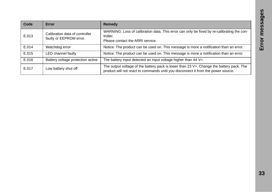| Code  | Error                                                     | Remedy                                                                                                                                                                        |
|-------|-----------------------------------------------------------|-------------------------------------------------------------------------------------------------------------------------------------------------------------------------------|
| E.013 | Calibration data of controller<br>faulty or EEPROM error. | WARNING: Loss of calibration data. This error can only be fixed by re-calibrating the con-<br>troller.<br>Please contact the ARRI service.                                    |
| E.014 | Watchdog error                                            | Notice: The product can be used on. This message is more a notification than an error.                                                                                        |
| E.015 | LED channel faulty                                        | Notice: The product can be used on. This message is more a notification than an error.                                                                                        |
| E.016 | Battery voltage protection active                         | The battery input detected an input voltage higher than $44 V =$ .                                                                                                            |
| E.017 | Low battery shut off                                      | The output voltage of the battery pack is lower than 23 V=. Change the battery pack. The<br>product will not react to commands until you disconnect it from the power source. |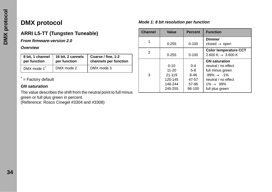# <span id="page-33-0"></span>**DMX protocol**

## **ARRI L5-TT (Tungsten Tuneable)**

*From firmware-version 2.0*

#### *Overview*

| 8 bit, 1 channel | 16 bit, 2 cannels | Coarse / fine, 1-2    |
|------------------|-------------------|-----------------------|
| per function     | per function      | channels per function |
| DMX mode 1       | DMX mode 2        | DMX mode 3            |

\*  $=$  Factory default

#### *GN saturation*

The value describes the shift from the neutral point to full minus green or full plus green in percent.

(Reference: Rosco Cinegel #3304 and #3308)

#### *Mode 1: 8 bit resolution per function*

| <b>Channel</b> | Value                                                            | <b>Percent</b>                                           | <b>Function</b>                                                                                                                                                 |
|----------------|------------------------------------------------------------------|----------------------------------------------------------|-----------------------------------------------------------------------------------------------------------------------------------------------------------------|
|                | $0 - 255$                                                        | $0 - 100$                                                | <b>Dimmer</b><br>closed $\rightarrow$ open                                                                                                                      |
| 2              | $0 - 255$                                                        | $0 - 100$                                                | <b>Color temperature CCT</b><br>2.600 K $\rightarrow$ 3.600 K                                                                                                   |
| 3              | $0 - 10$<br>$11 - 20$<br>21-119<br>120-145<br>146-244<br>245-255 | $0 - 4$<br>$5-8$<br>$8 - 46$<br>47-57<br>57-96<br>96-100 | <b>GN</b> saturation<br>neutral / no effect<br>full minus green<br>$-99\% \rightarrow -1\%$<br>neutral / no effect<br>$1\% \rightarrow 99\%$<br>full plus green |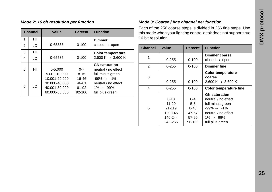| <b>Channel</b> |    | Value                                                            | <b>Percent</b>                    | <b>Function</b>                                                                              |
|----------------|----|------------------------------------------------------------------|-----------------------------------|----------------------------------------------------------------------------------------------|
| 1              | HI |                                                                  |                                   | <b>Dimmer</b>                                                                                |
| $\mathcal{P}$  | LO | 0-65535                                                          | $0 - 100$                         | closed $\rightarrow$ open                                                                    |
| 3              | HI |                                                                  |                                   | <b>Color temperature</b>                                                                     |
| 4              | LO | 0-65535                                                          | $0 - 100$                         | 2.600 K $\rightarrow$ 3.600 K                                                                |
| 5              | HI | $0 - 5.000$<br>5.001-10.000                                      | $0 - 7$<br>$8 - 15$               | <b>GN</b> saturation<br>neutral / no effect<br>full minus green                              |
| 6              | LO | 10.001-29.999<br>30.000-40.000<br>40.001-59.999<br>60.000-65.535 | 16-46<br>46-61<br>61-92<br>92-100 | $-99\% \rightarrow -1\%$<br>neutral / no effect<br>$1\% \rightarrow 99\%$<br>full plus green |

#### *Mode 2: 16 bit resolution per function Mode 3: Coarse / fine channel per function*

Each of the 256 coarse steps is divided in 256 fine steps. Use this mode when your lighting control desk does not support true 16 bit resolution.

| <b>Channel</b> | Value     | <b>Percent</b> | <b>Function</b>               |
|----------------|-----------|----------------|-------------------------------|
| 1              |           |                | Dimmer coarse                 |
|                | $0 - 255$ | $0 - 100$      | closed $\rightarrow$ open     |
| 2              | 0-255     | $0 - 100$      | <b>Dimmer fine</b>            |
|                |           |                | <b>Color temperature</b>      |
| 3              |           |                | coarse                        |
|                | $0 - 255$ | $0 - 100$      | 2.600 K $\rightarrow$ 3.600 K |
| 4              | $0 - 255$ | $0 - 100$      | Color temperature fine        |
|                |           |                | <b>GN</b> saturation          |
|                | $0 - 10$  | $0 - 4$        | neutral / no effect           |
|                | 11-20     | $5-8$          | full minus green              |
| 5              | 21-119    | 8-46           | $-99\% \rightarrow -1\%$      |
|                | 120-145   | 47-57          | neutral / no effect           |
|                | 146-244   | 57-96          | $1\% \rightarrow 99\%$        |
|                | 245-255   | 96-100         | full plus green               |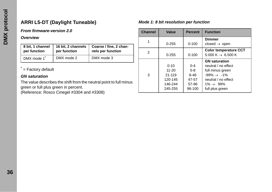## **ARRI L5-DT (Daylight Tuneable)**

#### *From firmware-version 2.0*

#### *Overview*

| 8 bit, 1 channel<br>16 bit, 2 channels<br>per function<br>per function |            | Coarse / fine, 2 chan-<br>nels per function |
|------------------------------------------------------------------------|------------|---------------------------------------------|
| DMX mode 1                                                             | DMX mode 2 | DMX mode 3                                  |

#### \*  $=$  Factory default

#### *GN saturation*

The value describes the shift from the neutral point to full minus green or full plus green in percent. (Reference: Rosco Cinegel #3304 and #3308)

#### *Mode 1: 8 bit resolution per function*

| <b>Channel</b> | Value                                                                | <b>Percent</b>                                           | <b>Function</b>                                                                                                                                                 |
|----------------|----------------------------------------------------------------------|----------------------------------------------------------|-----------------------------------------------------------------------------------------------------------------------------------------------------------------|
| 1              | $0 - 255$                                                            | $0 - 100$                                                | Dimmer<br>closed $\rightarrow$ open                                                                                                                             |
| 2              | $0 - 255$                                                            | $0 - 100$                                                | <b>Color temperature CCT</b><br>5.000 K $\rightarrow$ 6.500 K                                                                                                   |
| 3              | $0 - 10$<br>$11 - 20$<br>$21 - 119$<br>120-145<br>146-244<br>245-255 | $0 - 4$<br>$5-8$<br>$8 - 46$<br>47-57<br>57-96<br>96-100 | <b>GN</b> saturation<br>neutral / no effect<br>full minus green<br>$-99\% \rightarrow -1\%$<br>neutral / no effect<br>$1\% \rightarrow 99\%$<br>full plus green |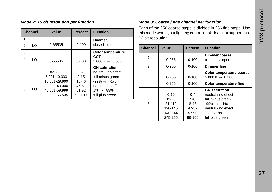| <b>Channel</b> |    | Value                                                            | <b>Percent</b>                    | <b>Function</b>                                                                              |
|----------------|----|------------------------------------------------------------------|-----------------------------------|----------------------------------------------------------------------------------------------|
| 1              | HI |                                                                  |                                   | Dimmer                                                                                       |
| 2              | LO | 0-65535                                                          | $0 - 100$                         | closed $\rightarrow$ open                                                                    |
| 3              | HI |                                                                  |                                   | <b>Color temperature</b>                                                                     |
| 4              | LO | 0-65535                                                          | $0 - 100$                         | CCT<br>5.000 K $\rightarrow$ 6.500 K                                                         |
| 5              | HI | $0 - 5.000$<br>5.001-10.000                                      | $0 - 7$<br>$8 - 15$               | <b>GN</b> saturation<br>neutral / no effect<br>full minus green                              |
| 6              | LO | 10.001-29.999<br>30.000-40.000<br>40.001-59.999<br>60.000-65.535 | 16-46<br>46-61<br>61-92<br>92-100 | $-99\% \rightarrow -1\%$<br>neutral / no effect<br>$1\% \rightarrow 99\%$<br>full plus green |

#### *Mode 2: 16 bit resolution per function Mode 3: Coarse / fine channel per function*

Each of the 256 coarse steps is divided in 256 fine steps. Use this mode when your lighting control desk does not support true 16 bit resolution.

| <b>Channel</b> | Value     | <b>Percent</b> | <b>Function</b>               |
|----------------|-----------|----------------|-------------------------------|
| 1              |           |                | Dimmer coarse                 |
|                | 0-255     | $0 - 100$      | closed $\rightarrow$ open     |
| 2              | $0 - 255$ | $0 - 100$      | Dimmer fine                   |
| 3              |           |                | Color temperature coarse      |
|                | 0-255     | $0 - 100$      | 5.000 K $\rightarrow$ 6.500 K |
| 4              | 0-255     | $0 - 100$      | <b>Color temperature fine</b> |
|                |           |                | <b>GN</b> saturation          |
|                | $0 - 10$  | $0 - 4$        | neutral / no effect           |
|                | 11-20     | $5-8$          | full minus green              |
| 5              | 21-119    | $8 - 46$       | $-99\% \rightarrow -1\%$      |
|                | 120-145   | 47-57          | neutral / no effect           |
|                | 146-244   | 57-96          | $1\% \rightarrow 99\%$        |
|                | 245-255   | 96-100         | full plus green               |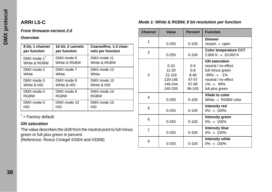## **ARRI L5-C**

#### *From firmware-version 2.0*

#### *Overview*

| 8 bit, 1 channel | 16 bit, 2 cannels | Coarse/fine, 1-2 chan- |
|------------------|-------------------|------------------------|
| per function     | per function      | nels per function      |
| DMX mode 1       | DMX mode 6        | DMX mode 11            |
| White & RGBW     | White & RGBW      | White & RGBW           |
| DMX mode 2       | DMX mode 7        | DMX mode 12            |
| White            | White             | White                  |
| DMX mode 3       | DMX mode 8        | DMX mode 13            |
| White & HSI      | White & HSI       | White & HSI            |
| DMX mode 4       | DMX mode 9        | DMX mode 14            |
| <b>RGBW</b>      | <b>RGBW</b>       | <b>RGBW</b>            |
| DMX mode 5       | DMX mode 10       | DMX mode 15            |
| <b>HSI</b>       | HSI               | HSI                    |

\*  $=$  Factory default

#### *GN saturation*

The value describes the shift from the neutral point to full minus green or full plus green in percent.

(Reference: Rosco Cinegel #3304 and #3308)

| <b>Channel</b> | Value                                                            | <b>Percent</b>                                           | <b>Function</b>                                                                                                                                                 |
|----------------|------------------------------------------------------------------|----------------------------------------------------------|-----------------------------------------------------------------------------------------------------------------------------------------------------------------|
| 1              | $0 - 255$                                                        | $0 - 100$                                                | <b>Dimmer</b><br>closed $\rightarrow$ open                                                                                                                      |
| $\overline{2}$ | $0 - 255$                                                        | $0 - 100$                                                | <b>Color temperature CCT</b><br>2.800 K $\rightarrow$ 10.000 K                                                                                                  |
| 3              | $0 - 10$<br>$11 - 20$<br>21-119<br>120-145<br>146-244<br>245-255 | $0 - 4$<br>$5-8$<br>$8 - 46$<br>47-57<br>57-96<br>96-100 | <b>GN</b> saturation<br>neutral / no effect<br>full minus green<br>$-99\% \rightarrow -1\%$<br>neutral / no effect<br>$1\% \rightarrow 99\%$<br>full plus green |
| 4              | $0 - 255$                                                        | $0 - 100$                                                | Xfade to color<br>White $\rightarrow$ RGBW color                                                                                                                |
| 5              | $0 - 255$                                                        | $0 - 100$                                                | Intensity red<br>$0\% \rightarrow 100\%$                                                                                                                        |
| 6              | $0 - 255$                                                        | $0 - 100$                                                | Intensity green<br>$0\% \to 100\%$                                                                                                                              |
| 7              | $0 - 255$                                                        | $0 - 100$                                                | Intensity blue<br>$0\% \rightarrow 100\%$                                                                                                                       |
| 8              | $0 - 255$                                                        | $0 - 100$                                                | <b>Intensity white</b><br>$0\% \to 100\%$                                                                                                                       |

#### *Mode 1: White & RGBW, 8 bit resolution per function*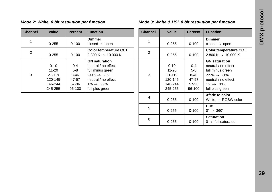| <b>Channel</b> | Value                                                            | <b>Percent</b>                                           | <b>Function</b>                                                                                                                                                 |
|----------------|------------------------------------------------------------------|----------------------------------------------------------|-----------------------------------------------------------------------------------------------------------------------------------------------------------------|
|                | $0 - 255$                                                        | $0 - 100$                                                | <b>Dimmer</b><br>closed $\rightarrow$ open                                                                                                                      |
| 2              | $0 - 255$                                                        | $0 - 100$                                                | <b>Color temperature CCT</b><br>2.800 K $\rightarrow$ 10.000 K                                                                                                  |
| 3              | $0 - 10$<br>$11 - 20$<br>21-119<br>120-145<br>146-244<br>245-255 | $0 - 4$<br>$5-8$<br>$8 - 46$<br>47-57<br>57-96<br>96-100 | <b>GN</b> saturation<br>neutral / no effect<br>full minus green<br>$-99\% \rightarrow -1\%$<br>neutral / no effect<br>$1\% \rightarrow 99\%$<br>full plus green |

#### *Mode 2: White, 8 bit resolution per function Mode 3: White & HSI, 8 bit resolution per function*

| <b>Channel</b> | <b>Value</b>                                                     | <b>Percent</b>                                       | <b>Function</b>                                                                                                                                                 |
|----------------|------------------------------------------------------------------|------------------------------------------------------|-----------------------------------------------------------------------------------------------------------------------------------------------------------------|
| 1              | $0 - 255$                                                        | $0 - 100$                                            | <b>Dimmer</b><br>closed $\rightarrow$ open                                                                                                                      |
| 2              | $0 - 255$                                                        | $0 - 100$                                            | <b>Color temperature CCT</b><br>2.800 K $\rightarrow$ 10.000 K                                                                                                  |
| 3              | $0 - 10$<br>$11 - 20$<br>21-119<br>120-145<br>146-244<br>245-255 | $0 - 4$<br>$5-8$<br>8-46<br>47-57<br>57-96<br>96-100 | <b>GN</b> saturation<br>neutral / no effect<br>full minus green<br>$-99\% \rightarrow -1\%$<br>neutral / no effect<br>$1\% \rightarrow 99\%$<br>full plus green |
| 4              | $0 - 255$                                                        | $0 - 100$                                            | Xfade to color<br>White $\rightarrow$ RGBW color                                                                                                                |
| 5              | $0 - 255$                                                        | $0 - 100$                                            | Hue<br>$0^{\circ} \rightarrow 360^{\circ}$                                                                                                                      |
| 6              | $0 - 255$                                                        | $0 - 100$                                            | <b>Saturation</b><br>$0 \rightarrow$ full saturated                                                                                                             |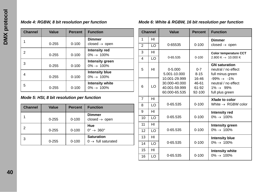#### *Mode 4: RGBW, 8 bit resolution per function*

| <b>Channel</b> | Value     | <b>Percent</b> | <b>Function</b>                                   |
|----------------|-----------|----------------|---------------------------------------------------|
|                | $0 - 255$ | $0 - 100$      | Dimmer<br>closed $\rightarrow$ open               |
| 2              | $0 - 255$ | $0 - 100$      | <b>Intensity red</b><br>$0\% \rightarrow 100\%$   |
| 3              | $0 - 255$ | $0 - 100$      | <b>Intensity green</b><br>$0\% \rightarrow 100\%$ |
| 4              | $0 - 255$ | $0 - 100$      | <b>Intensity blue</b><br>$0\% \to 100\%$          |
| 5              | $0 - 255$ | $0 - 100$      | <b>Intensity white</b><br>$0\% \to 100\%$         |

#### *Mode 5: HSI, 8 bit resolution per function*

| <b>Channel</b> | Value     | <b>Percent</b> | <b>Function</b>                                     |
|----------------|-----------|----------------|-----------------------------------------------------|
|                | $0 - 255$ | $0 - 100$      | <b>Dimmer</b><br>closed $\rightarrow$ open          |
| 2              | $0 - 255$ | $0 - 100$      | Hue<br>$0^\circ \rightarrow 360^\circ$              |
| 3              | $0 - 255$ | $0 - 100$      | <b>Saturation</b><br>$0 \rightarrow$ full saturated |

#### *Mode 6: White & RGBW, 16 bit resolution per function*

|                | <b>Channel</b> | Value                                                            | <b>Percent</b>                    | <b>Function</b>                                                                              |
|----------------|----------------|------------------------------------------------------------------|-----------------------------------|----------------------------------------------------------------------------------------------|
| 1              | HI             |                                                                  |                                   | <b>Dimmer</b>                                                                                |
| $\overline{2}$ | LO             | 0-65535                                                          | $0 - 100$                         | closed $\rightarrow$ open                                                                    |
| 3              | HI             |                                                                  |                                   | <b>Color temperature CCT</b>                                                                 |
| 4              | $\overline{0}$ | $0 - 65.535$                                                     | $0 - 100$                         | 2.800 K $\rightarrow$ 10.000 K                                                               |
| 5              | HI             | $0 - 5.000$<br>5.001-10.000                                      | $0 - 7$<br>$8 - 15$               | <b>GN</b> saturation<br>neutral / no effect<br>full minus green                              |
| 6              | LO             | 10.001-29.999<br>30.000-40.000<br>40.001-59.999<br>60.000-65.535 | 16-46<br>46-61<br>61-92<br>92-100 | $-99\% \rightarrow -1\%$<br>neutral / no effect<br>$1\% \rightarrow 99\%$<br>full plus green |
| $\overline{7}$ | HI             |                                                                  |                                   | Xfade to color                                                                               |
| 8              | $\overline{0}$ | 0-65.535                                                         | $0 - 100$                         | White $\rightarrow$ RGBW color                                                               |
| 9              | HI             |                                                                  |                                   | <b>Intensity red</b>                                                                         |
| 10             | LO             | 0-65.535                                                         | $0 - 100$                         | $0\% \rightarrow 100\%$                                                                      |
| 11             | HI             |                                                                  |                                   | Intensity green                                                                              |
| 12             | LO             | 0-65.535                                                         | $0 - 100$                         | $0\% \rightarrow 100\%$                                                                      |
| 13             | HI             |                                                                  |                                   | Intensity blue                                                                               |
| 14             | $\overline{0}$ | 0-65.535                                                         | $0 - 100$                         | $0\% \rightarrow 100\%$                                                                      |
| 15             | HI             |                                                                  |                                   | <b>Intensity white</b>                                                                       |
| 16             | LO             | 0-65.535                                                         | $0 - 100$                         | $0\% \to 100\%$                                                                              |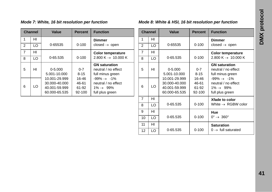|   | <b>Channel</b> | Value                                                            | <b>Percent</b>                    | <b>Function</b>                                                                              |
|---|----------------|------------------------------------------------------------------|-----------------------------------|----------------------------------------------------------------------------------------------|
| 1 | HI             |                                                                  |                                   | <b>Dimmer</b>                                                                                |
| 2 | LO             | 0-65535                                                          | $0 - 100$                         | closed $\rightarrow$ open                                                                    |
| 7 | HI             |                                                                  |                                   | <b>Color temperature</b>                                                                     |
| 8 | LO             | 0-65.535                                                         | $0 - 100$                         | 2.800 K $\rightarrow$ 10.000 K                                                               |
| 5 | HI             | $0 - 5.000$<br>5.001-10.000                                      | $0 - 7$<br>$8 - 15$               | <b>GN</b> saturation<br>neutral / no effect<br>full minus green                              |
| 6 | LO             | 10.001-29.999<br>30.000-40.000<br>40.001-59.999<br>60.000-65.535 | 16-46<br>46-61<br>61-92<br>92-100 | $-99\% \rightarrow -1\%$<br>neutral / no effect<br>$1\% \rightarrow 99\%$<br>full plus green |

#### *Mode 7: White, 16 bit resolution per function Mode 8: White & HSI, 16 bit resolution per function*

|                | <b>Channel</b> | Value                                                            | <b>Percent</b>                    | <b>Function</b>                                                                              |
|----------------|----------------|------------------------------------------------------------------|-----------------------------------|----------------------------------------------------------------------------------------------|
| 1              | HI             |                                                                  |                                   | <b>Dimmer</b>                                                                                |
| 2              | LO             | 0-65535                                                          | $0 - 100$                         | closed $\rightarrow$ open                                                                    |
| $\overline{7}$ | HI             |                                                                  |                                   | <b>Color temperature</b>                                                                     |
| 8              | LO             | 0-65.535                                                         | $0 - 100$                         | 2.800 K $\rightarrow$ 10.000 K                                                               |
| 5              | HI             | $0 - 5.000$<br>5.001-10.000                                      | $0 - 7$<br>$8 - 15$               | <b>GN</b> saturation<br>neutral / no effect<br>full minus green                              |
| 6              | LO             | 10.001-29.999<br>30.000-40.000<br>40.001-59.999<br>60.000-65.535 | 16-46<br>46-61<br>61-92<br>92-100 | $-99\% \rightarrow -1\%$<br>neutral / no effect<br>$1\% \rightarrow 99\%$<br>full plus green |
| 7              | HI             |                                                                  |                                   | Xfade to color                                                                               |
| 8              | LO             | 0-65.535                                                         | $0 - 100$                         | White $\rightarrow$ RGBW color                                                               |
| 9              | HI             |                                                                  |                                   | Hue                                                                                          |
| 10             | LO             | 0-65.535                                                         | $0 - 100$                         | $0^\circ \rightarrow 360^\circ$                                                              |
| 11             | HI             |                                                                  |                                   | <b>Saturation</b>                                                                            |
| 12             | LO             | 0-65.535                                                         | $0 - 100$                         | $0 \rightarrow$ full saturated                                                               |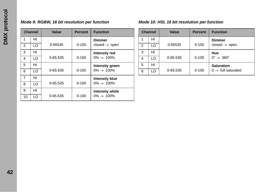# **DMX** protocol **DMX protocol**

#### *Mode 9: RGBW, 16 bit resolution per function Mode 10: HSI, 16 bit resolution per function*

|                | <b>Channel</b> | Value        | <b>Percent</b> | <b>Function</b>           |
|----------------|----------------|--------------|----------------|---------------------------|
| 1              | HI             |              |                | <b>Dimmer</b>             |
| 2              | LO             | 0-65535      | $0 - 100$      | closed $\rightarrow$ open |
| 3              | HI             |              |                | <b>Intensity red</b>      |
| $\overline{4}$ | LO             | 0-65.535     | $0 - 100$      | $0\% \rightarrow 100\%$   |
| 5              | HI             |              |                | Intensity green           |
| 6              | LO             | $0 - 65.535$ | $0 - 100$      | $0\% \rightarrow 100\%$   |
| $\overline{7}$ | HI             |              |                | <b>Intensity blue</b>     |
| 8              | LO             | 0-65.535     | $0 - 100$      | $0\% \rightarrow 100\%$   |
| 9              | HI             |              |                | Intensity white           |
| 10             | LO             | 0-65.535     | $0 - 100$      | $0\% \rightarrow 100\%$   |

|   | <b>Channel</b> | Value    | <b>Percent</b> | <b>Function</b>                 |
|---|----------------|----------|----------------|---------------------------------|
|   | HI             |          |                | <b>Dimmer</b>                   |
| 2 | LO             | 0-65535  | $0 - 100$      | closed $\rightarrow$ open       |
| 3 | HI             |          |                | Hue                             |
| 4 | LO             | 0-65.535 | $0 - 100$      | $0^\circ \rightarrow 360^\circ$ |
| 5 | HI             |          |                | <b>Saturation</b>               |
| 6 | LO             | 0-65.535 | $0 - 100$      | $0 \rightarrow$ full saturated  |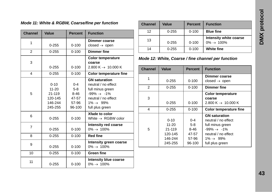#### *Mode 11: White & RGBW, Coarse/fine per function*

| <b>Channel</b> | Value                                                            | <b>Percent</b>                                             | <b>Function</b>                                                                                                                                                 |
|----------------|------------------------------------------------------------------|------------------------------------------------------------|-----------------------------------------------------------------------------------------------------------------------------------------------------------------|
| 1              | $0 - 255$                                                        | $0 - 100$                                                  | Dimmer coarse<br>closed $\rightarrow$ open                                                                                                                      |
| $\overline{2}$ | $0 - 255$                                                        | $0 - 100$                                                  | <b>Dimmer fine</b>                                                                                                                                              |
| 3              | $0 - 255$                                                        | $0 - 100$                                                  | <b>Color temperature</b><br>coarse<br>2.800 K $\rightarrow$ 10.000 K                                                                                            |
| 4              | $0 - 255$                                                        | $0 - 100$                                                  | <b>Color temperature fine</b>                                                                                                                                   |
| 5              | $0 - 10$<br>$11 - 20$<br>21-119<br>120-145<br>146-244<br>245-255 | $0 - 4$<br>$5 - 8$<br>$8 - 46$<br>47-57<br>57-96<br>96-100 | <b>GN</b> saturation<br>neutral / no effect<br>full minus green<br>$-99\% \rightarrow -1\%$<br>neutral / no effect<br>$1\% \rightarrow 99\%$<br>full plus green |
| 6              | $0 - 255$                                                        | $0 - 100$                                                  | Xfade to color<br>White $\rightarrow$ RGBW color                                                                                                                |
| $\overline{7}$ | $0 - 255$                                                        | $0 - 100$                                                  | <b>Intensity red coarse</b><br>$0\% \to 100\%$                                                                                                                  |
| 8              | $0 - 255$                                                        | $0 - 100$                                                  | <b>Red fine</b>                                                                                                                                                 |
| 9              | $0 - 255$                                                        | $0 - 100$                                                  | Intensity green coarse<br>$0\% \to 100\%$                                                                                                                       |
| 10             | $0 - 255$                                                        | $0 - 100$                                                  | <b>Green fine</b>                                                                                                                                               |
| 11             | $0 - 255$                                                        | $0 - 100$                                                  | Intensity blue coarse<br>$0\% \to 100\%$                                                                                                                        |

| <b>Channel</b> | Value     | <b>Percent</b> | <b>Function</b>                           |
|----------------|-----------|----------------|-------------------------------------------|
| 12             | $0 - 255$ | $0 - 100$      | <b>Blue fine</b>                          |
| 13             | $0 - 255$ | $0 - 100$      | Intensity white coarse<br>$0\% \to 100\%$ |
| 14             | $0 - 255$ | $0 - 100$      | <b>White fine</b>                         |

*Mode 12: White, Coarse / fine channel per function*

| <b>Channel</b> | Value     | <b>Percent</b> | <b>Function</b>                            |
|----------------|-----------|----------------|--------------------------------------------|
| 1              | $0 - 255$ | $0 - 100$      | Dimmer coarse<br>closed $\rightarrow$ open |
|                |           |                |                                            |
| 2              | $0 - 255$ | $0 - 100$      | Dimmer fine                                |
|                |           |                | <b>Color temperature</b>                   |
| 3              |           |                | coarse                                     |
|                | $0 - 255$ | $0 - 100$      | 2.800 K $\rightarrow$ 10.000 K             |
| 4              | $0 - 255$ | $0 - 100$      | <b>Color temperature fine</b>              |
|                |           |                | <b>GN</b> saturation                       |
|                | $0 - 10$  | $0 - 4$        | neutral / no effect                        |
|                | $11 - 20$ | $5-8$          | full minus green                           |
| 5              | 21-119    | 8-46           | $-99\% \rightarrow -1\%$                   |
|                | 120-145   | 47-57          | neutral / no effect                        |
|                | 146-244   | 57-96          | $1\% \rightarrow 99\%$                     |
|                | 245-255   | 96-100         | full plus green                            |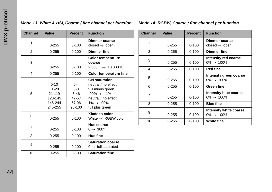#### *Mode 13: White & HSI, Coarse / fine channel per function Mode 14: RGBW, Coarse / fine channel per function*

| <b>Channel</b> | Value     | <b>Percent</b> | <b>Function</b>                |
|----------------|-----------|----------------|--------------------------------|
| 1              |           |                | Dimmer coarse                  |
|                | $0 - 255$ | $0 - 100$      | closed $\rightarrow$ open      |
| $\mathfrak{p}$ | $0 - 255$ | $0 - 100$      | <b>Dimmer fine</b>             |
|                |           |                | <b>Color temperature</b>       |
| 3              |           |                | coarse                         |
|                | $0 - 255$ | $0 - 100$      | 2.800 K $\rightarrow$ 10.000 K |
| 4              | $0 - 255$ | $0 - 100$      | <b>Color temperature fine</b>  |
|                |           |                | <b>GN</b> saturation           |
|                | $0 - 10$  | $0 - 4$        | neutral / no effect            |
|                | $11 - 20$ | $5-8$          | full minus green               |
| 5              | 21-119    | 8-46           | $-99\% \rightarrow -1\%$       |
|                | 120-145   | 47-57          | neutral / no effect            |
|                | 146-244   | 57-96          | $1\% \rightarrow 99\%$         |
|                | 245-255   | 96-100         | full plus green                |
| 6              |           |                | Xfade to color                 |
|                | $0 - 255$ | $0 - 100$      | White $\rightarrow$ RGBW color |
| $\overline{7}$ |           |                | Hue coarse                     |
|                | $0 - 255$ | $0 - 100$      | $0 \rightarrow 360^\circ$      |
| 8              | $0 - 255$ | $0 - 100$      | Hue fine                       |
|                |           |                | <b>Saturation coarse</b>       |
| 9              | $0 - 255$ | $0 - 100$      | $0 \rightarrow$ full saturated |
| 10             | $0 - 255$ | $0 - 100$      | <b>Saturation fine</b>         |

| <b>Channel</b> | Value     | <b>Percent</b> | <b>Function</b>           |
|----------------|-----------|----------------|---------------------------|
| 1              |           |                | Dimmer coarse             |
|                | $0 - 255$ | $0 - 100$      | closed $\rightarrow$ open |
| 2              | $0 - 255$ | $0 - 100$      | <b>Dimmer fine</b>        |
| 3              |           |                | Intensity red coarse      |
|                | $0 - 255$ | $0 - 100$      | $0\% \rightarrow 100\%$   |
| 4              | $0 - 255$ | $0 - 100$      | <b>Red fine</b>           |
| 5              |           |                | Intensity green coarse    |
|                | $0 - 255$ | $0 - 100$      | $0\% \rightarrow 100\%$   |
| 6              | $0 - 255$ | $0 - 100$      | <b>Green fine</b>         |
| $\overline{7}$ |           |                | Intensity blue coarse     |
|                | $0 - 255$ | $0 - 100$      | $0\% \to 100\%$           |
| 8              | $0 - 255$ | $0 - 100$      | <b>Blue fine</b>          |
| 9              |           |                | Intensity white coarse    |
|                | $0 - 255$ | $0 - 100$      | $0\% \rightarrow 100\%$   |
| 10             | $0 - 255$ | $0 - 100$      | White fine                |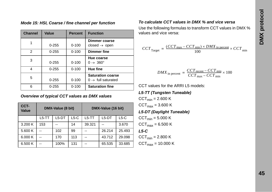|  |  |  |  |  |  |  | Mode 15: HSI, Coarse / fine channel per function |
|--|--|--|--|--|--|--|--------------------------------------------------|
|--|--|--|--|--|--|--|--------------------------------------------------|

| <b>Channel</b> | Value     | <b>Percent</b> | <b>Function</b>                                            |
|----------------|-----------|----------------|------------------------------------------------------------|
|                | $0 - 255$ | $0 - 100$      | Dimmer coarse<br>closed $\rightarrow$ open                 |
| 2              | $0 - 255$ | $0 - 100$      | <b>Dimmer fine</b>                                         |
| 3              | $0 - 255$ | $0 - 100$      | Hue coarse<br>$0 \rightarrow 360^\circ$                    |
| 4              | $0 - 255$ | $0 - 100$      | Hue fine                                                   |
| 5              | $0 - 255$ | $0 - 100$      | <b>Saturation coarse</b><br>$0 \rightarrow$ full saturated |
| 6              | $0 - 255$ | $0 - 100$      | <b>Saturation fine</b>                                     |

#### *Overview of typical CCT values as DMX values*

| CCT-<br><b>Value</b> | DMX-Value (8 bit) |         |        | DMX-Value (16 bit) |         |        |
|----------------------|-------------------|---------|--------|--------------------|---------|--------|
|                      | $L5-TT$           | $L5-DT$ | $L5-C$ | $L5-TT$            | $L5-DT$ | $L5-C$ |
| 3.200 K              | 153               |         | 14     | 39.321             |         | 3.670  |
| 5.600 K              |                   | 102     | 99     |                    | 26.214  | 25.493 |
| 6.000 K              |                   | 170     | 113    |                    | 43.712  | 29.098 |
| 6.500 K              |                   | 100%    | 131    |                    | 65.535  | 33.685 |

#### *To calculate CCT values in DMX % and vice versa*

Use the following formulas to transform CCT values in DMX % values and vice versa:

$$
CCT_{\text{Target}} = \frac{(CCT_{\text{max}} - CCT_{\text{min}}) \times DMX_{\text{in percent}}}{100} \times CCT_{\text{min}}
$$

$$
DMX_{\text{in percent}} = \frac{CCT_{\text{recent}} - CCT_{\text{min}}}{CCT_{\text{max}} - CCT_{\text{min}}} \times 100
$$

CCT values for the ARRI L5 models:

*L5-TT (Tungsten Tuneable)*

 $CCT_{min} = 2.600 K$  $CCT_{max} = 3.600 K$ 

*L5-DT (Daylight Tuneable)*

 $CCT_{min} = 5.000 K$ 

 $CCT_{max} = 6.500 K$ 

#### *L5-C*

 $CCT_{min} = 2.800 K$  $CCT_{max} = 10.000 K$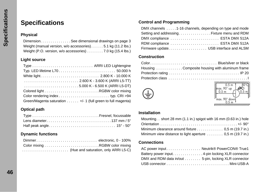## <span id="page-45-0"></span>**Specifications**

#### **Physical**

| Dimension. See dimensional drawings on page 3                                 |  |
|-------------------------------------------------------------------------------|--|
| Weight (manual version, w/o accessories)5.1 kg (11.2 lbs.)                    |  |
| Weight (P.O. version, $w/o$ accessories) $\ldots \ldots$ . 7.0 kg (15.4 lbs.) |  |

#### **Light source**

| $\ldots \ldots \ldots \ldots \ldots \ldots \ldots \ldots \ldots \ldots 5.000$ K - 6.500 K (ARRI L5-DT) |  |
|--------------------------------------------------------------------------------------------------------|--|
|                                                                                                        |  |
|                                                                                                        |  |
| Green/Magenta saturation $\ldots$ . $\cdots$ +/- 1 (full green to full magenta)                        |  |

#### **Optical path**

#### **Dynamic functions**

| Dimmerelectronic, 0 - 100%           |
|--------------------------------------|
|                                      |
| (Hue and saturation, only ARRI L5-C) |

#### **Control and Programming**

| DMX channels 1-16 channels, depending on type and mode |  |
|--------------------------------------------------------|--|
|                                                        |  |
| DMX compliance  ESTA DMX 512A                          |  |
| RDM compliance  ESTA DMX 512A                          |  |
| Firmware update USB interface and ALSM                 |  |

#### **Construction**

| ColorBlue/silver or black                     |
|-----------------------------------------------|
| Housing Composite housing with aluminum frame |
|                                               |
|                                               |





#### **Installation**

| Mounting. . short 28 mm (1.1 in.) spigot with 16 mm (0.63 in.) hole |
|---------------------------------------------------------------------|
|                                                                     |
| Minimum clearance around fixture 0,5 m (19.7 in.)                   |
| Minimum view distance to light aperture  0,5 m (19.7 in.)           |

#### **Connections**

| AC power input Neutrik® PowerCON® True1              |
|------------------------------------------------------|
| Battery power input4-pin locking XLR connector       |
| DMX and RDM data in/out 5-pin, locking XLR connector |
|                                                      |
|                                                      |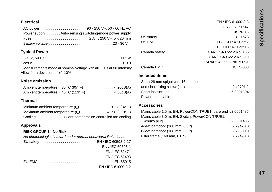EN / IEC 61000-3-3 EN / IEC 61547

#### **Electrical**

| Power supply Auto-sensing switching-mode power supply |
|-------------------------------------------------------|
|                                                       |
|                                                       |

#### **Typical Power**

| Measurements made at nominal voltage with all LEDs at full intensity. |
|-----------------------------------------------------------------------|
| Allow for a deviation of +/- 10%                                      |

#### **Noise emission**

#### **Thermal**

| Minimum ambient temperature $(t_2)$ 20° C (-4° F)  |  |
|----------------------------------------------------|--|
| Maximum ambient temperature $(t_2)$ 45° C (113° F) |  |
| Cooling Silent, temperature-controlled fan cooling |  |

#### **Approvals**

#### **RISK GROUP 1 - No Risk**

| No photobiological hazard under normal behavioral limitations. |
|----------------------------------------------------------------|
|                                                                |
| EN / IEC 60598-1                                               |
| EN / IEC 62471                                                 |
| EN / IEC 62493                                                 |
|                                                                |
| EN / IEC 61000-3-2                                             |

| CISPR <sub>15</sub>     |
|-------------------------|
|                         |
|                         |
| FCC CFR 47 Part 15      |
|                         |
| CAN/CSA C22.2 No. 9.0   |
| CAN/CSA C22.2 N0. 9.0S1 |
|                         |
|                         |

#### **Included items**

| Short 28 mm spigot with 16 mm hole, |  |
|-------------------------------------|--|
|                                     |  |
|                                     |  |
| Power input cable                   |  |

#### <span id="page-46-0"></span>**Accessories**

| Mains cable 1.5 m, EN, PowerCON TRUE1, bare end L2.0001485 |
|------------------------------------------------------------|
| Mains cable 3.0 m. EN. Switch. PowerCON TRUE1.             |
|                                                            |
|                                                            |
|                                                            |
|                                                            |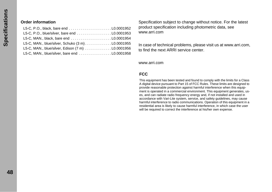#### **Order information**

| L5-C, P.O., black, bare end L0.0001952           |  |
|--------------------------------------------------|--|
| L5-C, P.O., blue/silver, bare end L0.0001953     |  |
| L5-C, MAN., black, bare end L0.0001954           |  |
| L5-C, MAN., blue/silver, Schuko (3 m)L0.0001955  |  |
| L5-C, MAN., blue/silver, Edison (7 m) L0.0001956 |  |
| L5-C, MAN., blue/silver, bare end L0.0001958     |  |

Specification subject to change without notice. For the latest product specification including photometric data, see www.arri.com

In case of technical problems, please visit us at www.arri.com, to find the next ARRI service center.

www.arri.com

#### **FCC**

This equipment has been tested and found to comply with the limits for a Class A digital device pursuant to Part 15 of FCC Rules. These limits are designed to provide reasonable protection against harmful interference when this equipment is operated in a commercial environment. This equipment generates, uses, and can radiate radio frequency energy and, if not installed and used in accordance with Vari-Lite system, service, and safety guidelines, may cause harmful interference to radio communications. Operation of this equipment in a residential area is likely to cause harmful interference, in which case the user will be required to correct the interference at his/her own expense.